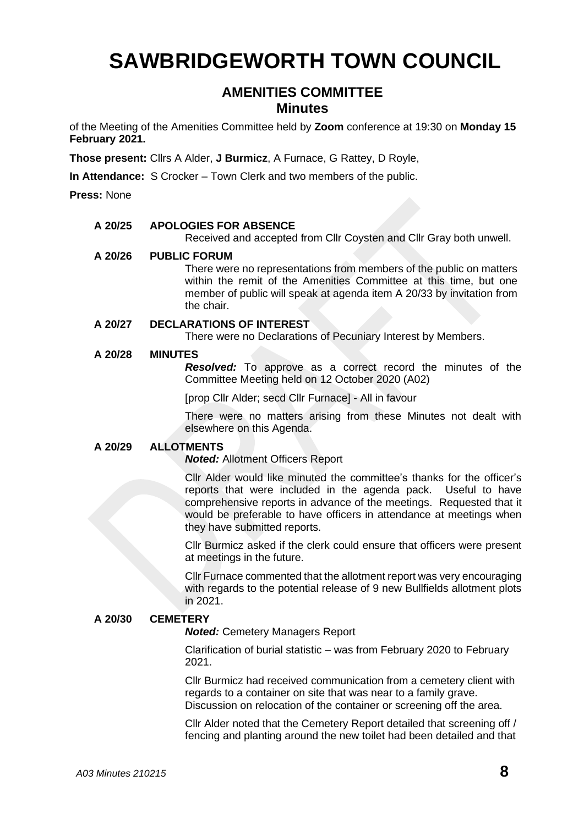# **SAWBRIDGEWORTH TOWN COUNCIL**

# **AMENITIES COMMITTEE Minutes**

of the Meeting of the Amenities Committee held by **Zoom** conference at 19:30 on **Monday 15 February 2021.**

**Those present:** Cllrs A Alder, **J Burmicz**, A Furnace, G Rattey, D Royle,

**In Attendance:** S Crocker – Town Clerk and two members of the public.

**Press:** None

# **A 20/25 APOLOGIES FOR ABSENCE**

Received and accepted from Cllr Coysten and Cllr Gray both unwell.

# **A 20/26 PUBLIC FORUM**

There were no representations from members of the public on matters within the remit of the Amenities Committee at this time, but one member of public will speak at agenda item A 20/33 by invitation from the chair.

# **A 20/27 DECLARATIONS OF INTEREST**

There were no Declarations of Pecuniary Interest by Members.

# **A 20/28 MINUTES**

*Resolved:* To approve as a correct record the minutes of the Committee Meeting held on 12 October 2020 (A02)

[prop Cllr Alder; secd Cllr Furnace] - All in favour

There were no matters arising from these Minutes not dealt with elsewhere on this Agenda.

# **A 20/29 ALLOTMENTS**

*Noted:* Allotment Officers Report

Cllr Alder would like minuted the committee's thanks for the officer's reports that were included in the agenda pack. Useful to have comprehensive reports in advance of the meetings. Requested that it would be preferable to have officers in attendance at meetings when they have submitted reports.

Cllr Burmicz asked if the clerk could ensure that officers were present at meetings in the future.

Cllr Furnace commented that the allotment report was very encouraging with regards to the potential release of 9 new Bullfields allotment plots in 2021.

# **A 20/30 CEMETERY**

*Noted:* Cemetery Managers Report

Clarification of burial statistic – was from February 2020 to February 2021.

Cllr Burmicz had received communication from a cemetery client with regards to a container on site that was near to a family grave. Discussion on relocation of the container or screening off the area.

Cllr Alder noted that the Cemetery Report detailed that screening off / fencing and planting around the new toilet had been detailed and that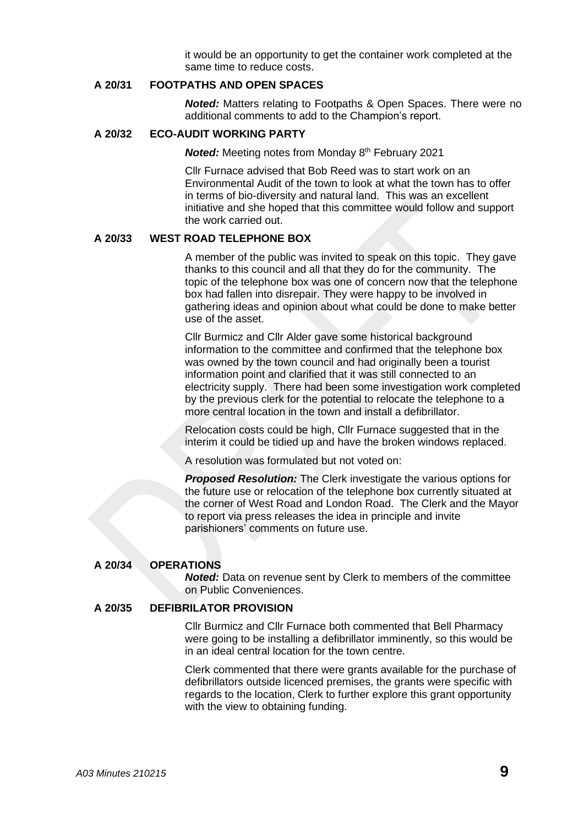it would be an opportunity to get the container work completed at the same time to reduce costs.

# **A 20/31 FOOTPATHS AND OPEN SPACES**

*Noted:* Matters relating to Footpaths & Open Spaces. There were no additional comments to add to the Champion's report.

# **A 20/32 ECO-AUDIT WORKING PARTY**

*Noted:* Meeting notes from Monday 8<sup>th</sup> February 2021

Cllr Furnace advised that Bob Reed was to start work on an Environmental Audit of the town to look at what the town has to offer in terms of bio-diversity and natural land. This was an excellent initiative and she hoped that this committee would follow and support the work carried out.

#### **A 20/33 WEST ROAD TELEPHONE BOX**

A member of the public was invited to speak on this topic. They gave thanks to this council and all that they do for the community. The topic of the telephone box was one of concern now that the telephone box had fallen into disrepair. They were happy to be involved in gathering ideas and opinion about what could be done to make better use of the asset.

Cllr Burmicz and Cllr Alder gave some historical background information to the committee and confirmed that the telephone box was owned by the town council and had originally been a tourist information point and clarified that it was still connected to an electricity supply. There had been some investigation work completed by the previous clerk for the potential to relocate the telephone to a more central location in the town and install a defibrillator.

Relocation costs could be high, Cllr Furnace suggested that in the interim it could be tidied up and have the broken windows replaced.

A resolution was formulated but not voted on:

**Proposed Resolution:** The Clerk investigate the various options for the future use or relocation of the telephone box currently situated at the corner of West Road and London Road. The Clerk and the Mayor to report via press releases the idea in principle and invite parishioners' comments on future use.

# **A 20/34 OPERATIONS**

*Noted:* Data on revenue sent by Clerk to members of the committee on Public Conveniences.

#### **A 20/35 DEFIBRILATOR PROVISION**

Cllr Burmicz and Cllr Furnace both commented that Bell Pharmacy were going to be installing a defibrillator imminently, so this would be in an ideal central location for the town centre.

Clerk commented that there were grants available for the purchase of defibrillators outside licenced premises, the grants were specific with regards to the location, Clerk to further explore this grant opportunity with the view to obtaining funding.